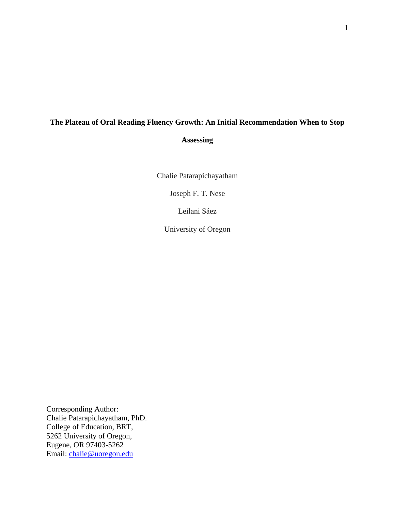# **The Plateau of Oral Reading Fluency Growth: An Initial Recommendation When to Stop Assessing**

Chalie Patarapichayatham

Joseph F. T. Nese

Leilani Sáez

University of Oregon

Corresponding Author: Chalie Patarapichayatham, PhD. College of Education, BRT, 5262 University of Oregon, Eugene, OR 97403-5262 Email: [chalie@uoregon.edu](mailto:chalie@uoregon.edu)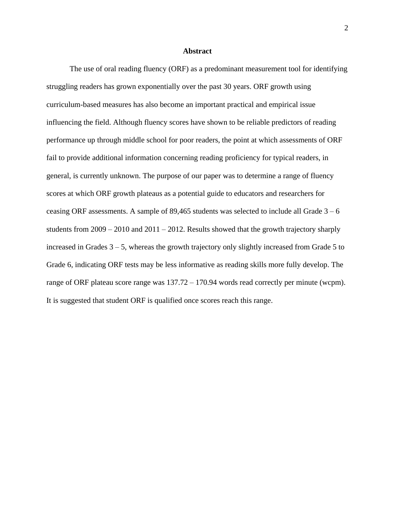#### **Abstract**

The use of oral reading fluency (ORF) as a predominant measurement tool for identifying struggling readers has grown exponentially over the past 30 years. ORF growth using curriculum-based measures has also become an important practical and empirical issue influencing the field. Although fluency scores have shown to be reliable predictors of reading performance up through middle school for poor readers, the point at which assessments of ORF fail to provide additional information concerning reading proficiency for typical readers, in general, is currently unknown. The purpose of our paper was to determine a range of fluency scores at which ORF growth plateaus as a potential guide to educators and researchers for ceasing ORF assessments. A sample of 89,465 students was selected to include all Grade  $3 - 6$ students from 2009 – 2010 and 2011 – 2012. Results showed that the growth trajectory sharply increased in Grades  $3 - 5$ , whereas the growth trajectory only slightly increased from Grade 5 to Grade 6, indicating ORF tests may be less informative as reading skills more fully develop. The range of ORF plateau score range was 137.72 – 170.94 words read correctly per minute (wcpm). It is suggested that student ORF is qualified once scores reach this range.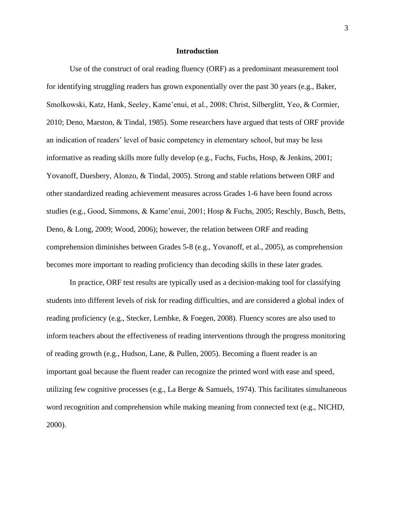#### **Introduction**

Use of the construct of oral reading fluency (ORF) as a predominant measurement tool for identifying struggling readers has grown exponentially over the past 30 years (e.g., Baker, Smolkowski, Katz, Hank, Seeley, Kame'enui, et al., 2008; Christ, Silberglitt, Yeo, & Cormier, 2010; Deno, Marston, & Tindal, 1985). Some researchers have argued that tests of ORF provide an indication of readers' level of basic competency in elementary school, but may be less informative as reading skills more fully develop (e.g., Fuchs, Fuchs, Hosp, & Jenkins, 2001; Yovanoff, Duesbery, Alonzo, & Tindal, 2005). Strong and stable relations between ORF and other standardized reading achievement measures across Grades 1-6 have been found across studies (e.g., Good, Simmons, & Kame'enui, 2001; Hosp & Fuchs, 2005; Reschly, Busch, Betts, Deno, & Long, 2009; Wood, 2006); however, the relation between ORF and reading comprehension diminishes between Grades 5-8 (e.g., Yovanoff, et al., 2005), as comprehension becomes more important to reading proficiency than decoding skills in these later grades.

In practice, ORF test results are typically used as a decision-making tool for classifying students into different levels of risk for reading difficulties, and are considered a global index of reading proficiency (e.g., Stecker, Lembke, & Foegen, 2008). Fluency scores are also used to inform teachers about the effectiveness of reading interventions through the progress monitoring of reading growth (e.g., Hudson, Lane, & Pullen, 2005). Becoming a fluent reader is an important goal because the fluent reader can recognize the printed word with ease and speed, utilizing few cognitive processes (e.g., La Berge & Samuels, 1974). This facilitates simultaneous word recognition and comprehension while making meaning from connected text (e.g., NICHD, 2000).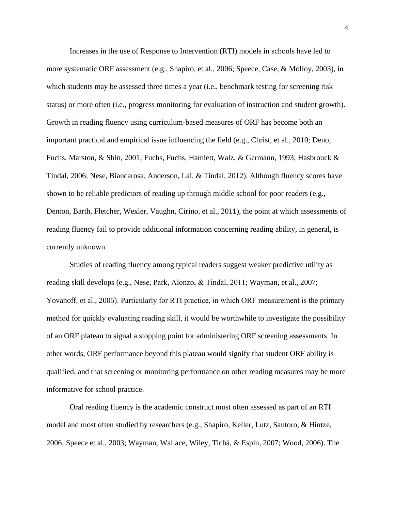Increases in the use of Response to Intervention (RTI) models in schools have led to more systematic ORF assessment (e.g., Shapiro, et al., 2006; Speece, Case, & Molloy, 2003), in which students may be assessed three times a year (i.e., benchmark testing for screening risk status) or more often (i.e., progress monitoring for evaluation of instruction and student growth). Growth in reading fluency using curriculum-based measures of ORF has become both an important practical and empirical issue influencing the field (e.g., Christ, et al., 2010; Deno, Fuchs, Marston, & Shin, 2001; Fuchs, Fuchs, Hamlett, Walz, & Germann, 1993; Hasbrouck & Tindal, 2006; Nese, Biancarosa, Anderson, Lai, & Tindal, 2012). Although fluency scores have shown to be reliable predictors of reading up through middle school for poor readers (e.g., Denton, Barth, Fletcher, Wexler, Vaughn, Cirino, et al., 2011), the point at which assessments of reading fluency fail to provide additional information concerning reading ability, in general, is currently unknown.

Studies of reading fluency among typical readers suggest weaker predictive utility as reading skill develops (e.g., Nese, Park, Alonzo, & Tindal, 2011; Wayman, et al., 2007; Yovanoff, et al., 2005). Particularly for RTI practice, in which ORF measurement is the primary method for quickly evaluating reading skill, it would be worthwhile to investigate the possibility of an ORF plateau to signal a stopping point for administering ORF screening assessments. In other words, ORF performance beyond this plateau would signify that student ORF ability is qualified, and that screening or monitoring performance on other reading measures may be more informative for school practice.

Oral reading fluency is the academic construct most often assessed as part of an RTI model and most often studied by researchers (e.g., Shapiro, Keller, Lutz, Santoro, & Hintze, 2006; Speece et al., 2003; Wayman, Wallace, Wiley, Tichá, & Espin, 2007; Wood, 2006). The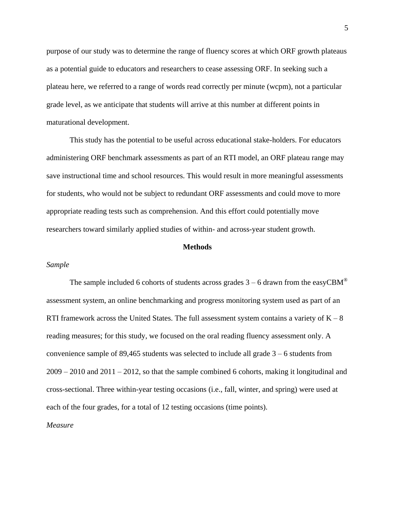purpose of our study was to determine the range of fluency scores at which ORF growth plateaus as a potential guide to educators and researchers to cease assessing ORF. In seeking such a plateau here, we referred to a range of words read correctly per minute (wcpm), not a particular grade level, as we anticipate that students will arrive at this number at different points in maturational development.

This study has the potential to be useful across educational stake-holders. For educators administering ORF benchmark assessments as part of an RTI model, an ORF plateau range may save instructional time and school resources. This would result in more meaningful assessments for students, who would not be subject to redundant ORF assessments and could move to more appropriate reading tests such as comprehension. And this effort could potentially move researchers toward similarly applied studies of within- and across-year student growth.

#### **Methods**

#### *Sample*

The sample included 6 cohorts of students across grades  $3 - 6$  drawn from the easyCBM<sup>®</sup> assessment system, an online benchmarking and progress monitoring system used as part of an RTI framework across the United States. The full assessment system contains a variety of  $K - 8$ reading measures; for this study, we focused on the oral reading fluency assessment only. A convenience sample of 89,465 students was selected to include all grade 3 – 6 students from 2009 – 2010 and 2011 – 2012, so that the sample combined 6 cohorts, making it longitudinal and cross-sectional. Three within-year testing occasions (i.e., fall, winter, and spring) were used at each of the four grades, for a total of 12 testing occasions (time points).

#### *Measure*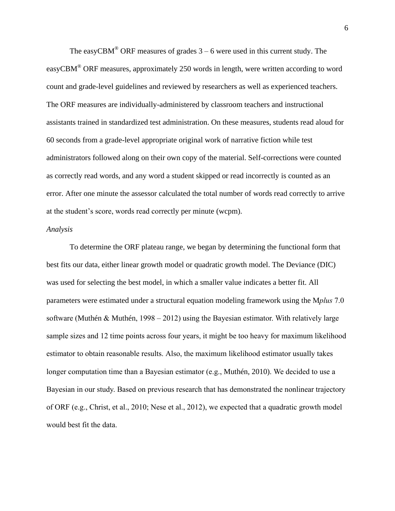The easyCBM<sup>®</sup> ORF measures of grades  $3 - 6$  were used in this current study. The easyCBM® ORF measures, approximately 250 words in length, were written according to word count and grade-level guidelines and reviewed by researchers as well as experienced teachers. The ORF measures are individually-administered by classroom teachers and instructional assistants trained in standardized test administration. On these measures, students read aloud for 60 seconds from a grade-level appropriate original work of narrative fiction while test administrators followed along on their own copy of the material. Self-corrections were counted as correctly read words, and any word a student skipped or read incorrectly is counted as an error. After one minute the assessor calculated the total number of words read correctly to arrive at the student's score, words read correctly per minute (wcpm).

#### *Analysis*

To determine the ORF plateau range, we began by determining the functional form that best fits our data, either linear growth model or quadratic growth model. The Deviance (DIC) was used for selecting the best model, in which a smaller value indicates a better fit. All parameters were estimated under a structural equation modeling framework using the M*plus* 7.0 software (Muthén & Muthén, 1998 – 2012) using the Bayesian estimator. With relatively large sample sizes and 12 time points across four years, it might be too heavy for maximum likelihood estimator to obtain reasonable results. Also, the maximum likelihood estimator usually takes longer computation time than a Bayesian estimator (e.g., Muthén, 2010). We decided to use a Bayesian in our study. Based on previous research that has demonstrated the nonlinear trajectory of ORF (e.g., Christ, et al., 2010; Nese et al., 2012), we expected that a quadratic growth model would best fit the data.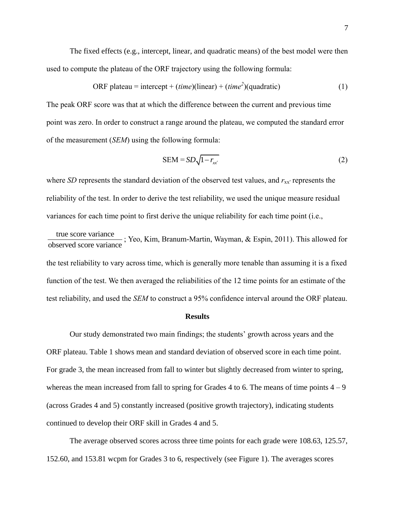The fixed effects (e.g., intercept, linear, and quadratic means) of the best model were then used to compute the plateau of the ORF trajectory using the following formula:

ORF plateau = intercept + 
$$
(time)(linear) + (time^2)(quadratic)
$$
 (1)

The peak ORF score was that at which the difference between the current and previous time point was zero. In order to construct a range around the plateau, we computed the standard error of the measurement (*SEM*) using the following formula:

$$
SEM = SD\sqrt{1 - r_{xx'}}\tag{2}
$$

where *SD* represents the standard deviation of the observed test values, and  $r_{xx'}$  represents the reliability of the test. In order to derive the test reliability, we used the unique measure residual variances for each time point to first derive the unique reliability for each time point (i.e.,

true score variance observed score variance ; Yeo, Kim, Branum-Martin, Wayman, & Espin, 2011). This allowed for the test reliability to vary across time, which is generally more tenable than assuming it is a fixed function of the test. We then averaged the reliabilities of the 12 time points for an estimate of the test reliability, and used the *SEM* to construct a 95% confidence interval around the ORF plateau.

#### **Results**

Our study demonstrated two main findings; the students' growth across years and the ORF plateau. Table 1 shows mean and standard deviation of observed score in each time point. For grade 3, the mean increased from fall to winter but slightly decreased from winter to spring, whereas the mean increased from fall to spring for Grades 4 to 6. The means of time points  $4 - 9$ (across Grades 4 and 5) constantly increased (positive growth trajectory), indicating students continued to develop their ORF skill in Grades 4 and 5.

The average observed scores across three time points for each grade were 108.63, 125.57, 152.60, and 153.81 wcpm for Grades 3 to 6, respectively (see Figure 1). The averages scores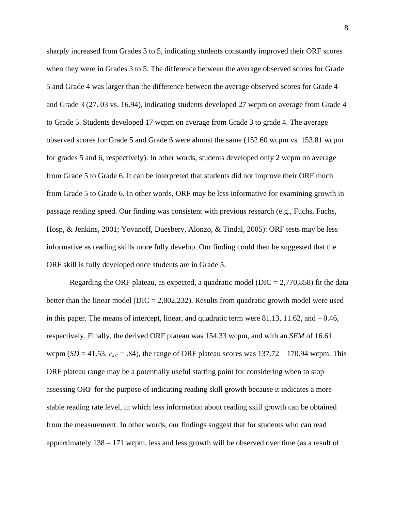sharply increased from Grades 3 to 5, indicating students constantly improved their ORF scores when they were in Grades 3 to 5. The difference between the average observed scores for Grade 5 and Grade 4 was larger than the difference between the average observed scores for Grade 4 and Grade 3 (27. 03 vs. 16.94), indicating students developed 27 wcpm on average from Grade 4 to Grade 5. Students developed 17 wcpm on average from Grade 3 to grade 4. The average observed scores for Grade 5 and Grade 6 were almost the same (152.60 wcpm vs. 153.81 wcpm for grades 5 and 6, respectively). In other words, students developed only 2 wcpm on average from Grade 5 to Grade 6. It can be interpreted that students did not improve their ORF much from Grade 5 to Grade 6. In other words, ORF may be less informative for examining growth in passage reading speed. Our finding was consistent with previous research (e.g., Fuchs, Fuchs, Hosp, & Jenkins, 2001; Yovanoff, Duesbery, Alonzo, & Tindal, 2005): ORF tests may be less informative as reading skills more fully develop. Our finding could then be suggested that the ORF skill is fully developed once students are in Grade 5.

Regarding the ORF plateau, as expected, a quadratic model ( $DIC = 2,770,858$ ) fit the data better than the linear model ( $DIC = 2,802,232$ ). Results from quadratic growth model were used in this paper. The means of intercept, linear, and quadratic term were 81.13, 11.62, and – 0.46, respectively. Finally, the derived ORF plateau was 154.33 wcpm, and with an *SEM* of 16.61 wcpm ( $SD = 41.53$ ,  $r_{xx'} = .84$ ), the range of ORF plateau scores was  $137.72 - 170.94$  wcpm. This ORF plateau range may be a potentially useful starting point for considering when to stop assessing ORF for the purpose of indicating reading skill growth because it indicates a more stable reading rate level, in which less information about reading skill growth can be obtained from the measurement. In other words, our findings suggest that for students who can read approximately 138 – 171 wcpm, less and less growth will be observed over time (as a result of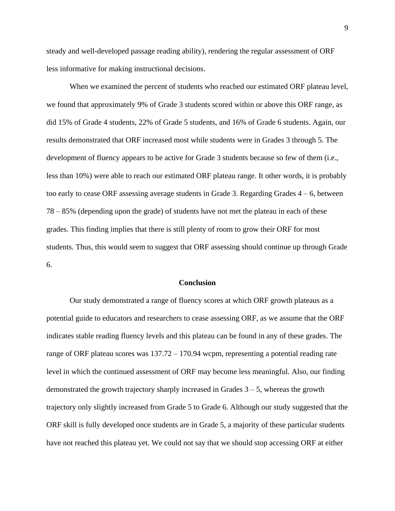steady and well-developed passage reading ability), rendering the regular assessment of ORF less informative for making instructional decisions.

When we examined the percent of students who reached our estimated ORF plateau level, we found that approximately 9% of Grade 3 students scored within or above this ORF range, as did 15% of Grade 4 students, 22% of Grade 5 students, and 16% of Grade 6 students. Again, our results demonstrated that ORF increased most while students were in Grades 3 through 5. The development of fluency appears to be active for Grade 3 students because so few of them (i.e., less than 10%) were able to reach our estimated ORF plateau range. It other words, it is probably too early to cease ORF assessing average students in Grade 3. Regarding Grades 4 – 6, between 78 – 85% (depending upon the grade) of students have not met the plateau in each of these grades. This finding implies that there is still plenty of room to grow their ORF for most students. Thus, this would seem to suggest that ORF assessing should continue up through Grade 6.

#### **Conclusion**

Our study demonstrated a range of fluency scores at which ORF growth plateaus as a potential guide to educators and researchers to cease assessing ORF, as we assume that the ORF indicates stable reading fluency levels and this plateau can be found in any of these grades. The range of ORF plateau scores was 137.72 – 170.94 wcpm, representing a potential reading rate level in which the continued assessment of ORF may become less meaningful. Also, our finding demonstrated the growth trajectory sharply increased in Grades 3 – 5, whereas the growth trajectory only slightly increased from Grade 5 to Grade 6. Although our study suggested that the ORF skill is fully developed once students are in Grade 5, a majority of these particular students have not reached this plateau yet. We could not say that we should stop accessing ORF at either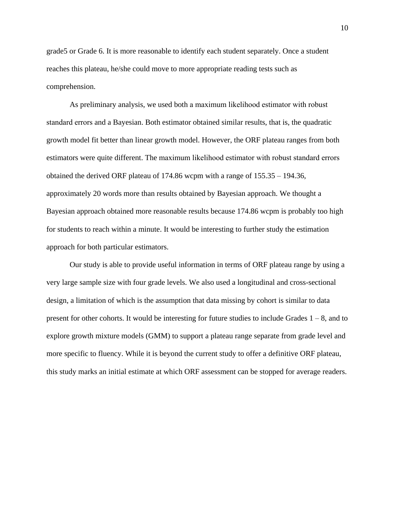grade5 or Grade 6. It is more reasonable to identify each student separately. Once a student reaches this plateau, he/she could move to more appropriate reading tests such as comprehension.

As preliminary analysis, we used both a maximum likelihood estimator with robust standard errors and a Bayesian. Both estimator obtained similar results, that is, the quadratic growth model fit better than linear growth model. However, the ORF plateau ranges from both estimators were quite different. The maximum likelihood estimator with robust standard errors obtained the derived ORF plateau of 174.86 wcpm with a range of 155.35 – 194.36, approximately 20 words more than results obtained by Bayesian approach. We thought a Bayesian approach obtained more reasonable results because 174.86 wcpm is probably too high for students to reach within a minute. It would be interesting to further study the estimation approach for both particular estimators.

Our study is able to provide useful information in terms of ORF plateau range by using a very large sample size with four grade levels. We also used a longitudinal and cross-sectional design, a limitation of which is the assumption that data missing by cohort is similar to data present for other cohorts. It would be interesting for future studies to include Grades  $1 - 8$ , and to explore growth mixture models (GMM) to support a plateau range separate from grade level and more specific to fluency. While it is beyond the current study to offer a definitive ORF plateau, this study marks an initial estimate at which ORF assessment can be stopped for average readers.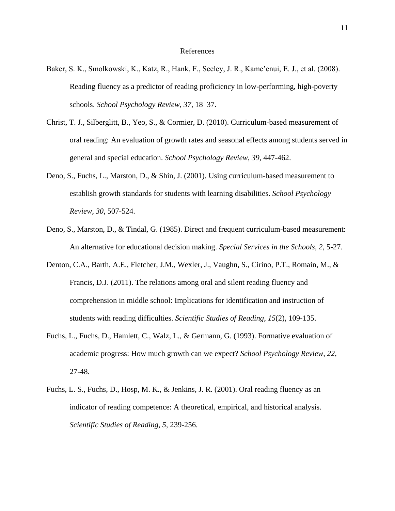#### References

- Baker, S. K., Smolkowski, K., Katz, R., Hank, F., Seeley, J. R., Kame'enui, E. J., et al. (2008). Reading fluency as a predictor of reading proficiency in low-performing, high-poverty schools. *School Psychology Review, 37,* 18–37.
- Christ, T. J., Silberglitt, B., Yeo, S., & Cormier, D. (2010). Curriculum-based measurement of oral reading: An evaluation of growth rates and seasonal effects among students served in general and special education. *School Psychology Review*, *39*, 447-462.
- Deno, S., Fuchs, L., Marston, D., & Shin, J. (2001). Using curriculum-based measurement to establish growth standards for students with learning disabilities. *School Psychology Review, 30*, 507-524.
- Deno, S., Marston, D., & Tindal, G. (1985). Direct and frequent curriculum-based measurement: An alternative for educational decision making. *Special Services in the Schools, 2*, 5-27.
- Denton, C.A., Barth, A.E., Fletcher, J.M., Wexler, J., Vaughn, S., Cirino, P.T., Romain, M., & Francis, D.J. (2011). The relations among oral and silent reading fluency and comprehension in middle school: Implications for identification and instruction of students with reading difficulties. *Scientific Studies of Reading*, *15*(2), 109-135.
- Fuchs, L., Fuchs, D., Hamlett, C., Walz, L., & Germann, G. (1993). Formative evaluation of academic progress: How much growth can we expect? *School Psychology Review, 22*, 27-48.
- Fuchs, L. S., Fuchs, D., Hosp, M. K., & Jenkins, J. R. (2001). Oral reading fluency as an indicator of reading competence: A theoretical, empirical, and historical analysis. *Scientific Studies of Reading, 5,* 239-256.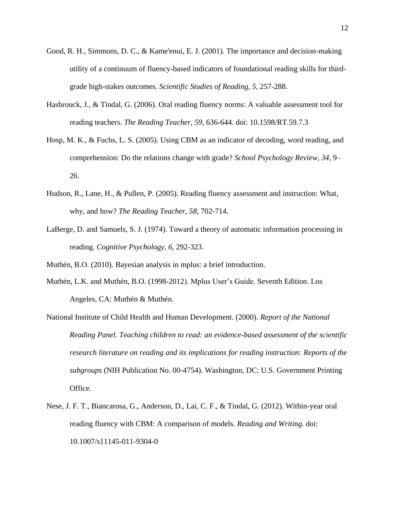- Good, R. H., Simmons, D. C., & Kame'enui, E. J. (2001). The importance and decision-making utility of a continuum of fluency-based indicators of foundational reading skills for thirdgrade high-stakes outcomes. *Scientific Studies of Reading, 5,* 257-288.
- Hasbrouck, J., & Tindal, G. (2006). Oral reading fluency norms: A valuable assessment tool for reading teachers. *The Reading Teacher, 59*, 636-644. doi: 10.1598/RT.59.7.3
- Hosp, M. K., & Fuchs, L. S. (2005). Using CBM as an indicator of decoding, word reading, and comprehension: Do the relations change with grade? *School Psychology Review, 34,* 9– 26.
- Hudson, R., Lane, H., & Pullen, P. (2005). Reading fluency assessment and instruction: What, why, and how? *The Reading Teacher, 58*, 702-714.
- LaBerge, D. and Samuels, S. J. (1974). Toward a theory of automatic information processing in reading. *Cognitive Psychology, 6*, 292-323.

Muthén, B.O. (2010). Bayesian analysis in mplus: a brief introduction.

- Muthén, L.K. and Muthén, B.O. (1998-2012). Mplus User's Guide. Seventh Edition. Los Angeles, CA: Muthén & Muthén.
- National Institute of Child Health and Human Development. (2000). *Report of the National Reading Panel. Teaching children to read: an evidence-based assessment of the scientific research literature on reading and its implications for reading instruction: Reports of the subgroups* (NIH Publication No. 00-4754). Washington, DC: U.S. Government Printing Office.
- Nese, J. F. T., Biancarosa, G., Anderson, D., Lai, C. F., & Tindal, G. (2012). Within-year oral reading fluency with CBM: A comparison of models. *Reading and Writing.* doi: 10.1007/s11145-011-9304-0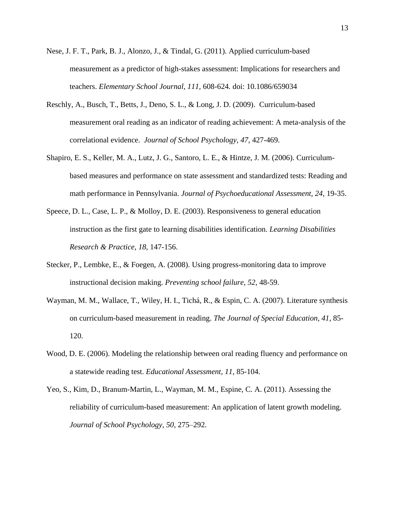- Nese, J. F. T., Park, B. J., Alonzo, J., & Tindal, G. (2011). Applied curriculum-based measurement as a predictor of high-stakes assessment: Implications for researchers and teachers. *Elementary School Journal, 111,* 608-624*.* doi: 10.1086/659034
- Reschly, A., Busch, T., Betts, J., Deno, S. L., & Long, J. D. (2009). Curriculum-based measurement oral reading as an indicator of reading achievement: A meta-analysis of the correlational evidence. *Journal of School Psychology, 47*, 427-469.
- Shapiro, E. S., Keller, M. A., Lutz, J. G., Santoro, L. E., & Hintze, J. M. (2006). Curriculumbased measures and performance on state assessment and standardized tests: Reading and math performance in Pennsylvania. *Journal of Psychoeducational Assessment, 24*, 19-35.
- Speece, D. L., Case, L. P., & Molloy, D. E. (2003). Responsiveness to general education instruction as the first gate to learning disabilities identification. *Learning Disabilities Research & Practice, 18*, 147-156.
- Stecker, P., Lembke, E., & Foegen, A. (2008). Using progress-monitoring data to improve instructional decision making. *Preventing school failure, 52*, 48-59.
- Wayman, M. M., Wallace, T., Wiley, H. I., Tichá, R., & Espin, C. A. (2007). Literature synthesis on curriculum-based measurement in reading. *The Journal of Special Education, 41,* 85- 120.
- Wood, D. E. (2006). Modeling the relationship between oral reading fluency and performance on a statewide reading test. *Educational Assessment, 11,* 85-104.
- Yeo, S., Kim, D., Branum-Martin, L., Wayman, M. M., Espine, C. A. (2011). Assessing the reliability of curriculum-based measurement: An application of latent growth modeling. *[Journal of School Psychology,](http://www.sciencedirect.com/science/journal/00224405) 50,* 275–292.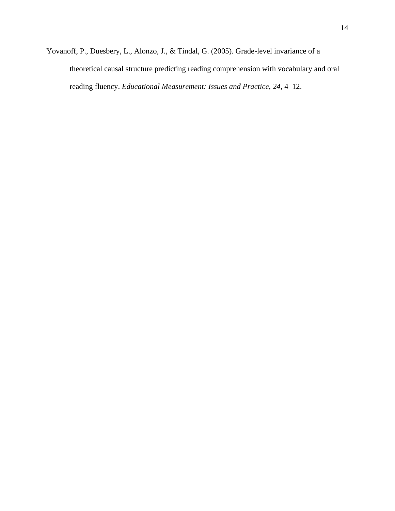Yovanoff, P., Duesbery, L., Alonzo, J., & Tindal, G. (2005). Grade-level invariance of a theoretical causal structure predicting reading comprehension with vocabulary and oral reading fluency. *Educational Measurement: Issues and Practice, 24,* 4–12.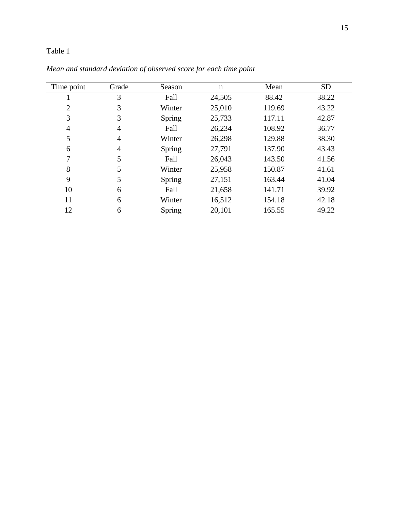### Table 1

| Time point | Grade | Season | n      | Mean   | <b>SD</b> |
|------------|-------|--------|--------|--------|-----------|
|            | 3     | Fall   | 24,505 | 88.42  | 38.22     |
| 2          | 3     | Winter | 25,010 | 119.69 | 43.22     |
| 3          | 3     | Spring | 25,733 | 117.11 | 42.87     |
| 4          | 4     | Fall   | 26,234 | 108.92 | 36.77     |
| 5          | 4     | Winter | 26,298 | 129.88 | 38.30     |
| 6          | 4     | Spring | 27,791 | 137.90 | 43.43     |
| 7          | 5     | Fall   | 26,043 | 143.50 | 41.56     |
| 8          | 5     | Winter | 25,958 | 150.87 | 41.61     |
| 9          | 5     | Spring | 27,151 | 163.44 | 41.04     |
| 10         | 6     | Fall   | 21,658 | 141.71 | 39.92     |
| 11         | 6     | Winter | 16,512 | 154.18 | 42.18     |
| 12         | 6     | Spring | 20,101 | 165.55 | 49.22     |

*Mean and standard deviation of observed score for each time point*